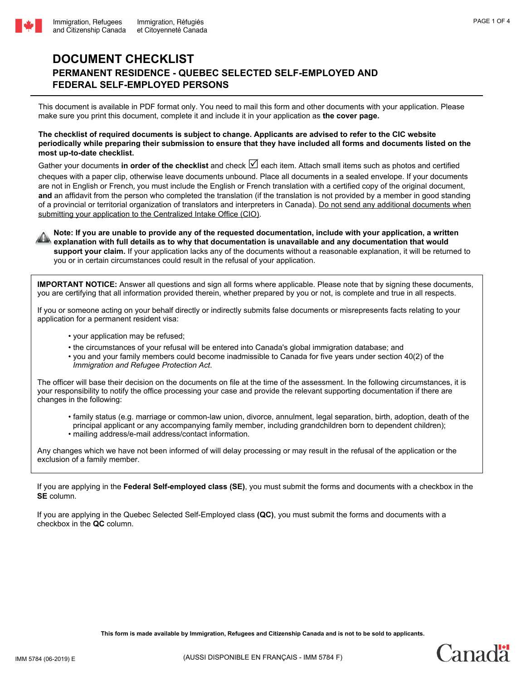## **DOCUMENT CHECKLIST PERMANENT RESIDENCE - QUEBEC SELECTED SELF-EMPLOYED AND FEDERAL SELF-EMPLOYED PERSONS**

This document is available in PDF format only. You need to mail this form and other documents with your application. Please make sure you print this document, complete it and include it in your application as **the cover page.** 

## **The checklist of required documents is subject to change. Applicants are advised to refer to the CIC website periodically while preparing their submission to ensure that they have included all forms and documents listed on the most up-to-date checklist.**

Gather your documents in order of the checklist and check  $\Box$  each item. Attach small items such as photos and certified cheques with a paper clip, otherwise leave documents unbound. Place all documents in a sealed envelope. If your documents are not in English or French, you must include the English or French translation with a certified copy of the original document, **and** an affidavit from the person who completed the translation (if the translation is not provided by a member in good standing of a provincial or territorial organization of translators and interpreters in Canada). Do not send any additional documents when submitting your application to the Centralized Intake Office (CIO).

**Note:** If you are unable to provide any of the requested documentation, include with your application, a written  $\bullet$  availantion with full details as to why that documentation is unavailable and any documentation that wo **explanation with full details as to why that documentation is unavailable and any documentation that would support your claim.** If your application lacks any of the documents without a reasonable explanation, it will be returned to you or in certain circumstances could result in the refusal of your application.

**IMPORTANT NOTICE:** Answer all questions and sign all forms where applicable. Please note that by signing these documents, you are certifying that all information provided therein, whether prepared by you or not, is complete and true in all respects.

If you or someone acting on your behalf directly or indirectly submits false documents or misrepresents facts relating to your application for a permanent resident visa:

- your application may be refused;
- the circumstances of your refusal will be entered into Canada's global immigration database; and
- you and your family members could become inadmissible to Canada for five years under section 40(2) of the *Immigration and Refugee Protection Act*.

The officer will base their decision on the documents on file at the time of the assessment. In the following circumstances, it is your responsibility to notify the office processing your case and provide the relevant supporting documentation if there are changes in the following:

- family status (e.g. marriage or common-law union, divorce, annulment, legal separation, birth, adoption, death of the principal applicant or any accompanying family member, including grandchildren born to dependent children);
- mailing address/e-mail address/contact information.

Any changes which we have not been informed of will delay processing or may result in the refusal of the application or the exclusion of a family member.

If you are applying in the **Federal Self-employed class (SE)**, you must submit the forms and documents with a checkbox in the **SE** column.

If you are applying in the Quebec Selected Self-Employed class **(QC)**, you must submit the forms and documents with a checkbox in the **QC** column.

**This form is made available by Immigration, Refugees and Citizenship Canada and is not to be sold to applicants.** 

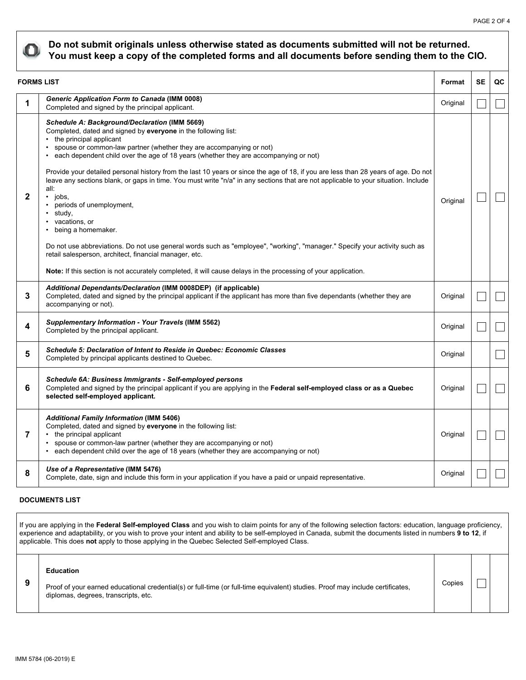

## **Do not submit originals unless otherwise stated as documents submitted will not be returned. You must keep a copy of the completed forms and all documents before sending them to the CIO.**

| <b>FORMS LIST</b> |                                                                                                                                                                                                                                                                                                                                                                                                                                                                                                                                                                                                                                                                                                                                                                                                                                                                                                                                                                                                               | Format   | <b>SE</b> | QC |
|-------------------|---------------------------------------------------------------------------------------------------------------------------------------------------------------------------------------------------------------------------------------------------------------------------------------------------------------------------------------------------------------------------------------------------------------------------------------------------------------------------------------------------------------------------------------------------------------------------------------------------------------------------------------------------------------------------------------------------------------------------------------------------------------------------------------------------------------------------------------------------------------------------------------------------------------------------------------------------------------------------------------------------------------|----------|-----------|----|
| 1                 | <b>Generic Application Form to Canada (IMM 0008)</b><br>Completed and signed by the principal applicant.                                                                                                                                                                                                                                                                                                                                                                                                                                                                                                                                                                                                                                                                                                                                                                                                                                                                                                      |          |           |    |
| $\mathbf{2}$      | Schedule A: Background/Declaration (IMM 5669)<br>Completed, dated and signed by everyone in the following list:<br>• the principal applicant<br>• spouse or common-law partner (whether they are accompanying or not)<br>• each dependent child over the age of 18 years (whether they are accompanying or not)<br>Provide your detailed personal history from the last 10 years or since the age of 18, if you are less than 28 years of age. Do not<br>leave any sections blank, or gaps in time. You must write "n/a" in any sections that are not applicable to your situation. Include<br>all:<br>$\cdot$ jobs.<br>periods of unemployment,<br>study,<br>vacations, or<br>• being a homemaker.<br>Do not use abbreviations. Do not use general words such as "employee", "working", "manager." Specify your activity such as<br>retail salesperson, architect, financial manager, etc.<br>Note: If this section is not accurately completed, it will cause delays in the processing of your application. | Original |           |    |
| 3                 | Additional Dependants/Declaration (IMM 0008DEP) (if applicable)<br>Completed, dated and signed by the principal applicant if the applicant has more than five dependants (whether they are<br>accompanying or not).                                                                                                                                                                                                                                                                                                                                                                                                                                                                                                                                                                                                                                                                                                                                                                                           | Original |           |    |
| 4                 | Supplementary Information - Your Travels (IMM 5562)<br>Completed by the principal applicant.                                                                                                                                                                                                                                                                                                                                                                                                                                                                                                                                                                                                                                                                                                                                                                                                                                                                                                                  | Original |           |    |
| 5                 | <b>Schedule 5: Declaration of Intent to Reside in Quebec: Economic Classes</b><br>Completed by principal applicants destined to Quebec.                                                                                                                                                                                                                                                                                                                                                                                                                                                                                                                                                                                                                                                                                                                                                                                                                                                                       | Original |           |    |
| 6                 | Schedule 6A: Business Immigrants - Self-employed persons<br>Completed and signed by the principal applicant if you are applying in the Federal self-employed class or as a Quebec<br>selected self-employed applicant.                                                                                                                                                                                                                                                                                                                                                                                                                                                                                                                                                                                                                                                                                                                                                                                        | Original |           |    |
| 7                 | <b>Additional Family Information (IMM 5406)</b><br>Completed, dated and signed by everyone in the following list:<br>• the principal applicant<br>• spouse or common-law partner (whether they are accompanying or not)<br>• each dependent child over the age of 18 years (whether they are accompanying or not)                                                                                                                                                                                                                                                                                                                                                                                                                                                                                                                                                                                                                                                                                             | Original |           |    |
| 8                 | Use of a Representative (IMM 5476)<br>Complete, date, sign and include this form in your application if you have a paid or unpaid representative.                                                                                                                                                                                                                                                                                                                                                                                                                                                                                                                                                                                                                                                                                                                                                                                                                                                             | Original |           |    |

## **DOCUMENTS LIST**

If you are applying in the **Federal Self-employed Class** and you wish to claim points for any of the following selection factors: education, language proficiency, experience and adaptability, or you wish to prove your intent and ability to be self-employed in Canada, submit the documents listed in numbers **9 to 12**, if applicable. This does **not** apply to those applying in the Quebec Selected Self-employed Class.

**Education** 

Proof of your earned educational credential(s) or full-time (or full-time equivalent) studies. Proof may include certificates, diplomas, degrees, transcripts, etc.

Copies

 $\mathcal{L}_{\mathcal{A}}$ 

**9**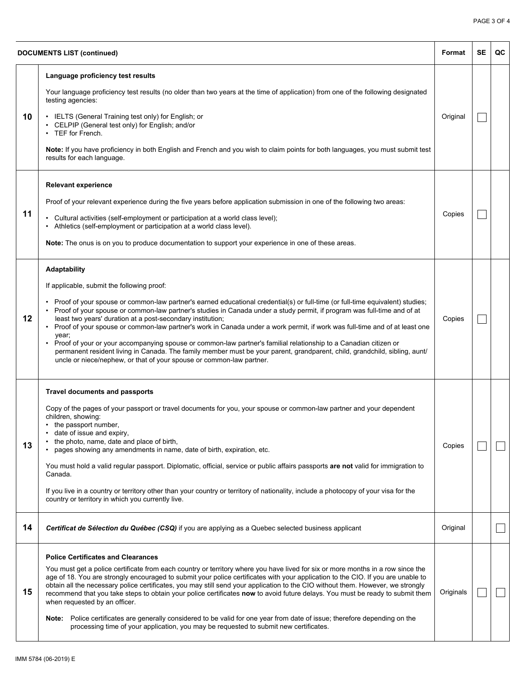| <b>DOCUMENTS LIST (continued)</b> |                                                                                                                                                                                                                                                                                                                                                                                                                                                                                                                                                                                                                                                                                                                                                                                                                                                           | Format    | <b>SE</b> | QC |
|-----------------------------------|-----------------------------------------------------------------------------------------------------------------------------------------------------------------------------------------------------------------------------------------------------------------------------------------------------------------------------------------------------------------------------------------------------------------------------------------------------------------------------------------------------------------------------------------------------------------------------------------------------------------------------------------------------------------------------------------------------------------------------------------------------------------------------------------------------------------------------------------------------------|-----------|-----------|----|
| 10                                | Language proficiency test results<br>Your language proficiency test results (no older than two years at the time of application) from one of the following designated<br>testing agencies:<br>• IELTS (General Training test only) for English; or<br>• CELPIP (General test only) for English; and/or<br>• TEF for French.<br>Note: If you have proficiency in both English and French and you wish to claim points for both languages, you must submit test<br>results for each language.                                                                                                                                                                                                                                                                                                                                                               | Original  |           |    |
| 11                                | <b>Relevant experience</b><br>Proof of your relevant experience during the five years before application submission in one of the following two areas:<br>• Cultural activities (self-employment or participation at a world class level);<br>• Athletics (self-employment or participation at a world class level).<br>Note: The onus is on you to produce documentation to support your experience in one of these areas.                                                                                                                                                                                                                                                                                                                                                                                                                               | Copies    |           |    |
| 12                                | Adaptability<br>If applicable, submit the following proof:<br>Proof of your spouse or common-law partner's earned educational credential(s) or full-time (or full-time equivalent) studies;<br>Proof of your spouse or common-law partner's studies in Canada under a study permit, if program was full-time and of at<br>least two years' duration at a post-secondary institution;<br>• Proof of your spouse or common-law partner's work in Canada under a work permit, if work was full-time and of at least one<br>year;<br>• Proof of your or your accompanying spouse or common-law partner's familial relationship to a Canadian citizen or<br>permanent resident living in Canada. The family member must be your parent, grandparent, child, grandchild, sibling, aunt/<br>uncle or niece/nephew, or that of your spouse or common-law partner. | Copies    |           |    |
| 13                                | <b>Travel documents and passports</b><br>Copy of the pages of your passport or travel documents for you, your spouse or common-law partner and your dependent<br>children, showing:<br>• the passport number,<br>date of issue and expiry,<br>the photo, name, date and place of birth,<br>pages showing any amendments in name, date of birth, expiration, etc.<br>You must hold a valid regular passport. Diplomatic, official, service or public affairs passports are not valid for immigration to<br>Canada.<br>If you live in a country or territory other than your country or territory of nationality, include a photocopy of your visa for the<br>country or territory in which you currently live.                                                                                                                                             | Copies    |           |    |
| 14                                | Certificat de Sélection du Québec (CSQ) if you are applying as a Quebec selected business applicant                                                                                                                                                                                                                                                                                                                                                                                                                                                                                                                                                                                                                                                                                                                                                       | Original  |           |    |
| 15                                | <b>Police Certificates and Clearances</b><br>You must get a police certificate from each country or territory where you have lived for six or more months in a row since the<br>age of 18. You are strongly encouraged to submit your police certificates with your application to the CIO. If you are unable to<br>obtain all the necessary police certificates, you may still send your application to the CIO without them. However, we strongly<br>recommend that you take steps to obtain your police certificates now to avoid future delays. You must be ready to submit them<br>when requested by an officer.<br>Note: Police certificates are generally considered to be valid for one year from date of issue; therefore depending on the<br>processing time of your application, you may be requested to submit new certificates.              | Originals |           |    |